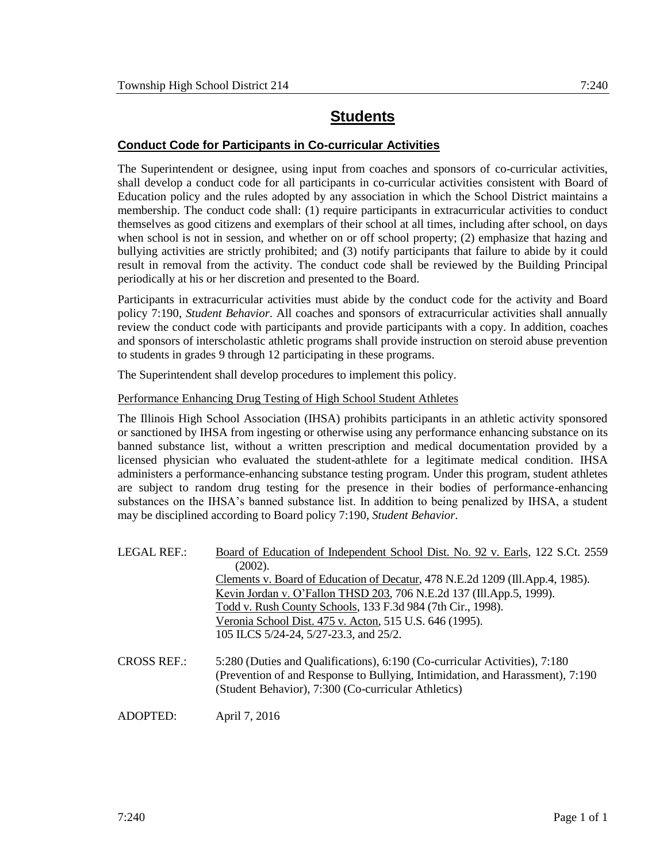## **Students**

## **Conduct Code for Participants in Co-curricular Activities**

The Superintendent or designee, using input from coaches and sponsors of co-curricular activities, shall develop a conduct code for all participants in co-curricular activities consistent with Board of Education policy and the rules adopted by any association in which the School District maintains a membership. The conduct code shall: (1) require participants in extracurricular activities to conduct themselves as good citizens and exemplars of their school at all times, including after school, on days when school is not in session, and whether on or off school property; (2) emphasize that hazing and bullying activities are strictly prohibited; and (3) notify participants that failure to abide by it could result in removal from the activity. The conduct code shall be reviewed by the Building Principal periodically at his or her discretion and presented to the Board.

Participants in extracurricular activities must abide by the conduct code for the activity and Board policy 7:190, *Student Behavior*. All coaches and sponsors of extracurricular activities shall annually review the conduct code with participants and provide participants with a copy. In addition, coaches and sponsors of interscholastic athletic programs shall provide instruction on steroid abuse prevention to students in grades 9 through 12 participating in these programs.

The Superintendent shall develop procedures to implement this policy.

Performance Enhancing Drug Testing of High School Student Athletes

The Illinois High School Association (IHSA) prohibits participants in an athletic activity sponsored or sanctioned by IHSA from ingesting or otherwise using any performance enhancing substance on its banned substance list, without a written prescription and medical documentation provided by a licensed physician who evaluated the student-athlete for a legitimate medical condition. IHSA administers a performance-enhancing substance testing program. Under this program, student athletes are subject to random drug testing for the presence in their bodies of performance-enhancing substances on the IHSA's banned substance list. In addition to being penalized by IHSA, a student may be disciplined according to Board policy 7:190, *Student Behavior*.

| <b>LEGAL REF.:</b> | Board of Education of Independent School Dist. No. 92 v. Earls, 122 S.Ct. 2559                                                                                                                                     |  |
|--------------------|--------------------------------------------------------------------------------------------------------------------------------------------------------------------------------------------------------------------|--|
|                    | (2002).                                                                                                                                                                                                            |  |
|                    | Clements v. Board of Education of Decatur, 478 N.E.2d 1209 (Ill.App.4, 1985).                                                                                                                                      |  |
|                    | Kevin Jordan v. O'Fallon THSD 203, 706 N.E.2d 137 (Ill.App.5, 1999).                                                                                                                                               |  |
|                    | Todd v. Rush County Schools, 133 F.3d 984 (7th Cir., 1998).                                                                                                                                                        |  |
|                    | Veronia School Dist. 475 v. Acton, 515 U.S. 646 (1995).                                                                                                                                                            |  |
|                    | 105 ILCS 5/24-24, 5/27-23.3, and 25/2.                                                                                                                                                                             |  |
| <b>CROSS REF.:</b> | 5:280 (Duties and Qualifications), 6:190 (Co-curricular Activities), 7:180<br>(Prevention of and Response to Bullying, Intimidation, and Harassment), 7:190<br>(Student Behavior), 7:300 (Co-curricular Athletics) |  |
|                    |                                                                                                                                                                                                                    |  |

ADOPTED: April 7, 2016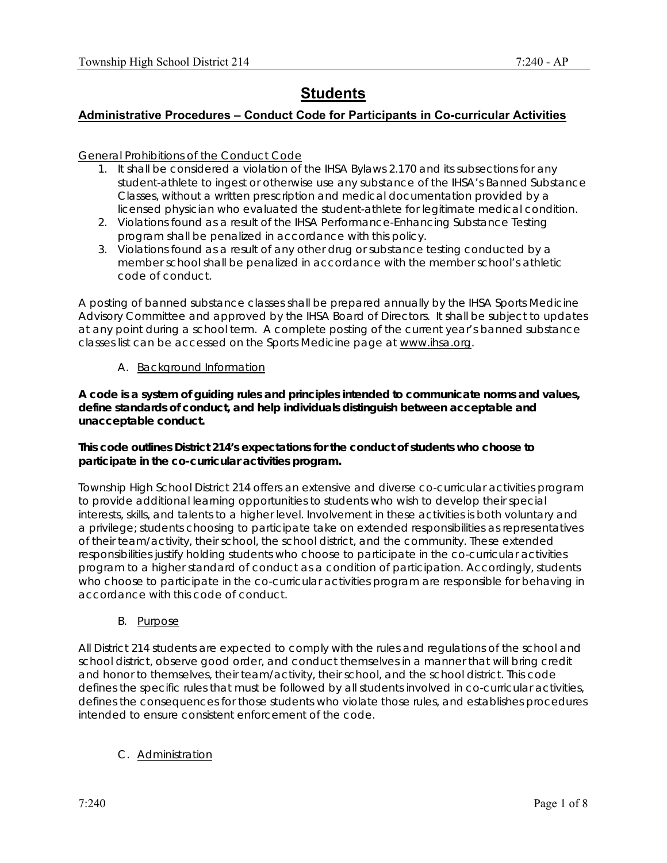# **Students**

## **Administrative Procedures – Conduct Code for Participants in Co-curricular Activities**

General Prohibitions of the Conduct Code

- 1. It shall be considered a violation of the IHSA Bylaws 2.170 and its subsections for any student-athlete to ingest or otherwise use any substance of the IHSA's Banned Substance Classes, without a written prescription and medical documentation provided by a licensed physician who evaluated the student-athlete for legitimate medical condition.
- 2. Violations found as a result of the IHSA Performance-Enhancing Substance Testing program shall be penalized in accordance with this policy.
- 3. Violations found as a result of any other drug or substance testing conducted by a member school shall be penalized in accordance with the member school's athletic code of conduct.

A posting of banned substance classes shall be prepared annually by the IHSA Sports Medicine Advisory Committee and approved by the IHSA Board of Directors. It shall be subject to updates at any point during a school term. A complete posting of the current year's banned substance classes list can be accessed on the Sports Medicine page at www.ihsa.org.

#### A. Background Information

**A code is a system of guiding rules and principles intended to communicate norms and values, define standards of conduct, and help individuals distinguish between acceptable and unacceptable conduct.** 

#### **This code outlines District 214's expectations for the conduct of students who choose to participate in the co-curricular activities program.**

Township High School District 214 offers an extensive and diverse co-curricular activities program to provide additional learning opportunities to students who wish to develop their special interests, skills, and talents to a higher level. Involvement in these activities is both voluntary and a privilege; students choosing to participate take on extended responsibilities as representatives of their team/activity, their school, the school district, and the community. These extended responsibilities justify holding students who choose to participate in the co-curricular activities program to a higher standard of conduct as a condition of participation. Accordingly, students who choose to participate in the co-curricular activities program are responsible for behaving in accordance with this code of conduct.

#### B. Purpose

All District 214 students are expected to comply with the rules and regulations of the school and school district, observe good order, and conduct themselves in a manner that will bring credit and honor to themselves, their team/activity, their school, and the school district. This code defines the specific rules that must be followed by all students involved in co-curricular activities, defines the consequences for those students who violate those rules, and establishes procedures intended to ensure consistent enforcement of the code.

## C. Administration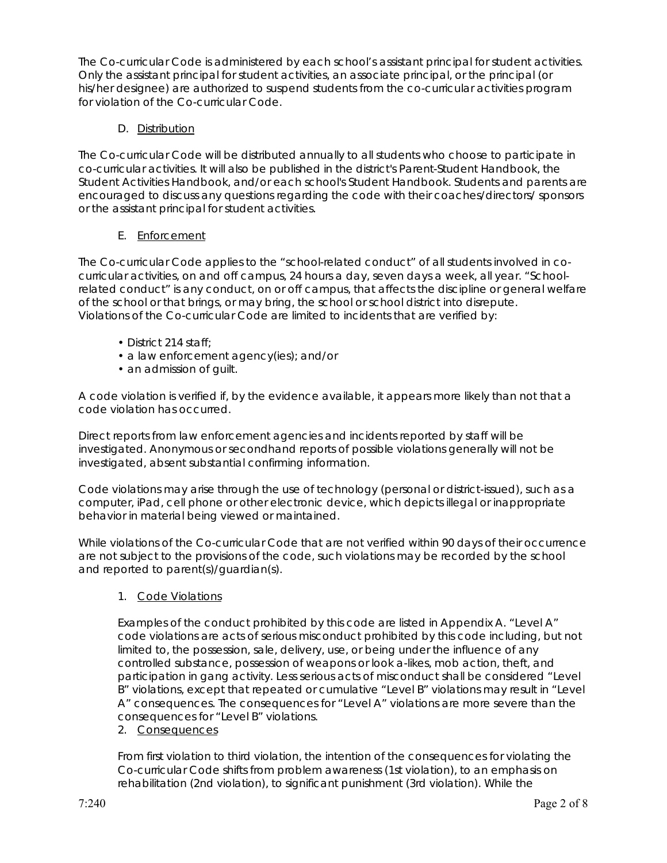The Co-curricular Code is administered by each school's assistant principal for student activities. Only the assistant principal for student activities, an associate principal, or the principal (or his/her designee) are authorized to suspend students from the co-curricular activities program for violation of the Co-curricular Code.

## D. Distribution

The Co-curricular Code will be distributed annually to all students who choose to participate in co-curricular activities. It will also be published in the district's Parent-Student Handbook, the Student Activities Handbook, and/or each school's Student Handbook. Students and parents are encouraged to discuss any questions regarding the code with their coaches/directors/ sponsors or the assistant principal for student activities.

## E. Enforcement

The Co-curricular Code applies to the "school-related conduct" of all students involved in cocurricular activities, on and off campus, 24 hours a day, seven days a week, all year. "Schoolrelated conduct" is any conduct, on or off campus, that affects the discipline or general welfare of the school or that brings, or may bring, the school or school district into disrepute. Violations of the Co-curricular Code are limited to incidents that are verified by:

- District 214 staff;
- a law enforcement agency(ies); and/or
- an admission of guilt.

A code violation is verified if, by the evidence available, it appears more likely than not that a code violation has occurred.

Direct reports from law enforcement agencies and incidents reported by staff will be investigated. Anonymous or secondhand reports of possible violations generally will not be investigated, absent substantial confirming information.

Code violations may arise through the use of technology (personal or district-issued), such as a computer, iPad, cell phone or other electronic device, which depicts illegal or inappropriate behavior in material being viewed or maintained.

While violations of the Co-curricular Code that are not verified within 90 days of their occurrence are not subject to the provisions of the code, such violations may be recorded by the school and reported to parent(s)/guardian(s).

1. Code Violations

Examples of the conduct prohibited by this code are listed in Appendix A. "Level A" code violations are acts of serious misconduct prohibited by this code including, but not limited to, the possession, sale, delivery, use, or being under the influence of any controlled substance, possession of weapons or look a-likes, mob action, theft, and participation in gang activity. Less serious acts of misconduct shall be considered "Level B" violations, except that repeated or cumulative "Level B" violations may result in "Level A" consequences. The consequences for "Level A" violations are more severe than the consequences for "Level B" violations.

2. Consequences

From first violation to third violation, the intention of the consequences for violating the Co-curricular Code shifts from problem awareness (1st violation), to an emphasis on rehabilitation (2nd violation), to significant punishment (3rd violation). While the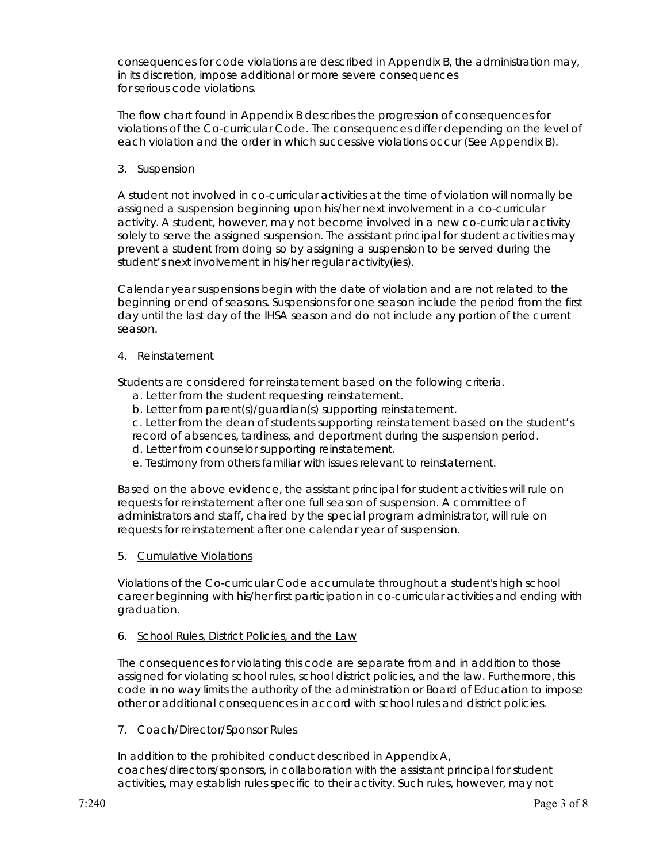consequences for code violations are described in Appendix B, the administration may, in its discretion, impose additional or more severe consequences for serious code violations.

The flow chart found in Appendix B describes the progression of consequences for violations of the Co-curricular Code. The consequences differ depending on the level of each violation and the order in which successive violations occur (See Appendix B).

3. Suspension

A student not involved in co-curricular activities at the time of violation will normally be assigned a suspension beginning upon his/her next involvement in a co-curricular activity. A student, however, may not become involved in a new co-curricular activity solely to serve the assigned suspension. The assistant principal for student activities may prevent a student from doing so by assigning a suspension to be served during the student's next involvement in his/her regular activity(ies).

Calendar year suspensions begin with the date of violation and are not related to the beginning or end of seasons. Suspensions for one season include the period from the first day until the last day of the IHSA season and do not include any portion of the current season.

4. Reinstatement

Students are considered for reinstatement based on the following criteria.

- a. Letter from the student requesting reinstatement.
- b. Letter from parent(s)/guardian(s) supporting reinstatement.

c. Letter from the dean of students supporting reinstatement based on the student's record of absences, tardiness, and deportment during the suspension period.

- d. Letter from counselor supporting reinstatement.
- e. Testimony from others familiar with issues relevant to reinstatement.

Based on the above evidence, the assistant principal for student activities will rule on requests for reinstatement after one full season of suspension. A committee of administrators and staff, chaired by the special program administrator, will rule on requests for reinstatement after one calendar year of suspension.

5. Cumulative Violations

Violations of the Co-curricular Code accumulate throughout a student's high school career beginning with his/her first participation in co-curricular activities and ending with graduation.

#### 6. School Rules, District Policies, and the Law

The consequences for violating this code are separate from and in addition to those assigned for violating school rules, school district policies, and the law. Furthermore, this code in no way limits the authority of the administration or Board of Education to impose other or additional consequences in accord with school rules and district policies.

7. Coach/Director/Sponsor Rules

In addition to the prohibited conduct described in Appendix A, coaches/directors/sponsors, in collaboration with the assistant principal for student activities, may establish rules specific to their activity. Such rules, however, may not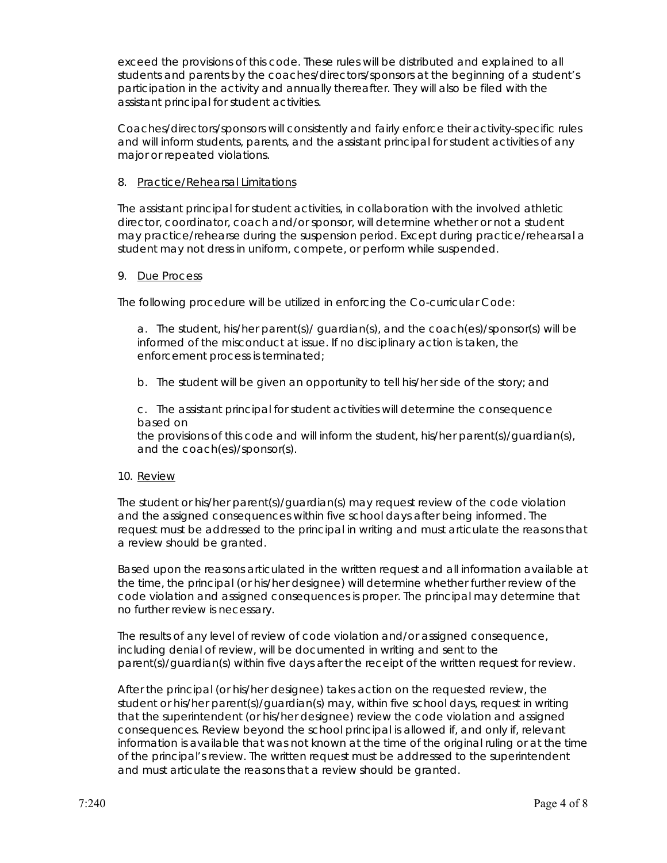exceed the provisions of this code. These rules will be distributed and explained to all students and parents by the coaches/directors/sponsors at the beginning of a student's participation in the activity and annually thereafter. They will also be filed with the assistant principal for student activities.

Coaches/directors/sponsors will consistently and fairly enforce their activity-specific rules and will inform students, parents, and the assistant principal for student activities of any major or repeated violations.

#### 8. Practice/Rehearsal Limitations

The assistant principal for student activities, in collaboration with the involved athletic director, coordinator, coach and/or sponsor, will determine whether or not a student may practice/rehearse during the suspension period. Except during practice/rehearsal a student may not dress in uniform, compete, or perform while suspended.

#### 9. Due Process

The following procedure will be utilized in enforcing the Co-curricular Code:

a. The student, his/her parent(s)/ guardian(s), and the coach(es)/sponsor(s) will be informed of the misconduct at issue. If no disciplinary action is taken, the enforcement process is terminated;

b. The student will be given an opportunity to tell his/her side of the story; and

c. The assistant principal for student activities will determine the consequence based on

the provisions of this code and will inform the student, his/her parent(s)/guardian(s), and the coach(es)/sponsor(s).

#### 10. Review

The student or his/her parent(s)/guardian(s) may request review of the code violation and the assigned consequences within five school days after being informed. The request must be addressed to the principal in writing and must articulate the reasons that a review should be granted.

Based upon the reasons articulated in the written request and all information available at the time, the principal (or his/her designee) will determine whether further review of the code violation and assigned consequences is proper. The principal may determine that no further review is necessary.

The results of any level of review of code violation and/or assigned consequence, including denial of review, will be documented in writing and sent to the parent(s)/guardian(s) within five days after the receipt of the written request for review.

After the principal (or his/her designee) takes action on the requested review, the student or his/her parent(s)/guardian(s) may, within five school days, request in writing that the superintendent (or his/her designee) review the code violation and assigned consequences. Review beyond the school principal is allowed if, and only if, relevant information is available that was not known at the time of the original ruling or at the time of the principal's review. The written request must be addressed to the superintendent and must articulate the reasons that a review should be granted.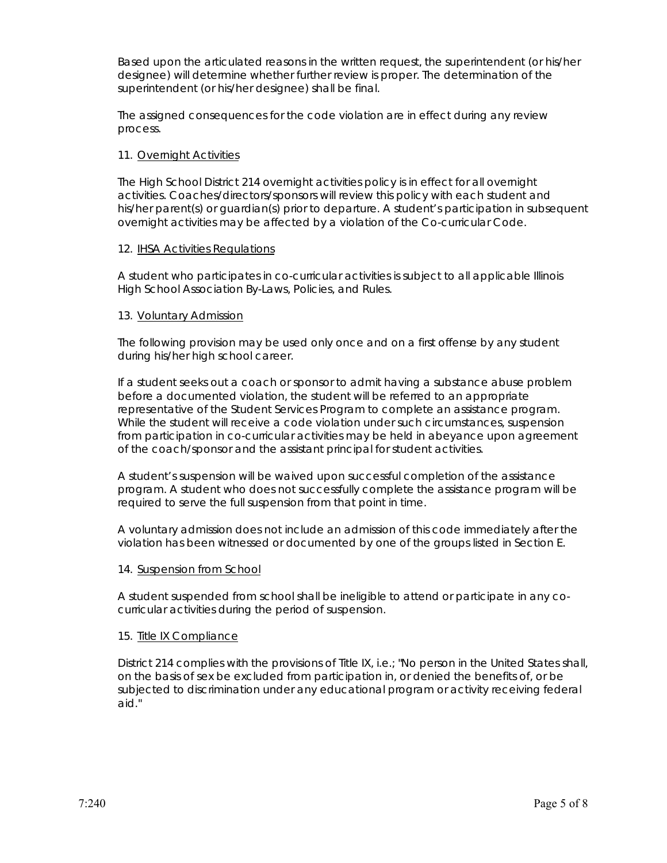Based upon the articulated reasons in the written request, the superintendent (or his/her designee) will determine whether further review is proper. The determination of the superintendent (or his/her designee) shall be final.

The assigned consequences for the code violation are in effect during any review process.

#### 11. Overnight Activities

The High School District 214 overnight activities policy is in effect for all overnight activities. Coaches/directors/sponsors will review this policy with each student and his/her parent(s) or guardian(s) prior to departure. A student's participation in subsequent overnight activities may be affected by a violation of the Co-curricular Code.

#### 12. IHSA Activities Regulations

A student who participates in co-curricular activities is subject to all applicable Illinois High School Association By-Laws, Policies, and Rules.

#### 13. Voluntary Admission

The following provision may be used only once and on a first offense by any student during his/her high school career.

If a student seeks out a coach or sponsor to admit having a substance abuse problem before a documented violation, the student will be referred to an appropriate representative of the Student Services Program to complete an assistance program. While the student will receive a code violation under such circumstances, suspension from participation in co-curricular activities may be held in abeyance upon agreement of the coach/sponsor and the assistant principal for student activities.

A student's suspension will be waived upon successful completion of the assistance program. A student who does not successfully complete the assistance program will be required to serve the full suspension from that point in time.

A voluntary admission does not include an admission of this code immediately after the violation has been witnessed or documented by one of the groups listed in Section E.

#### 14. Suspension from School

A student suspended from school shall be ineligible to attend or participate in any cocurricular activities during the period of suspension.

#### 15. Title IX Compliance

District 214 complies with the provisions of Title IX, i.e.; "No person in the United States shall, on the basis of sex be excluded from participation in, or denied the benefits of, or be subjected to discrimination under any educational program or activity receiving federal aid."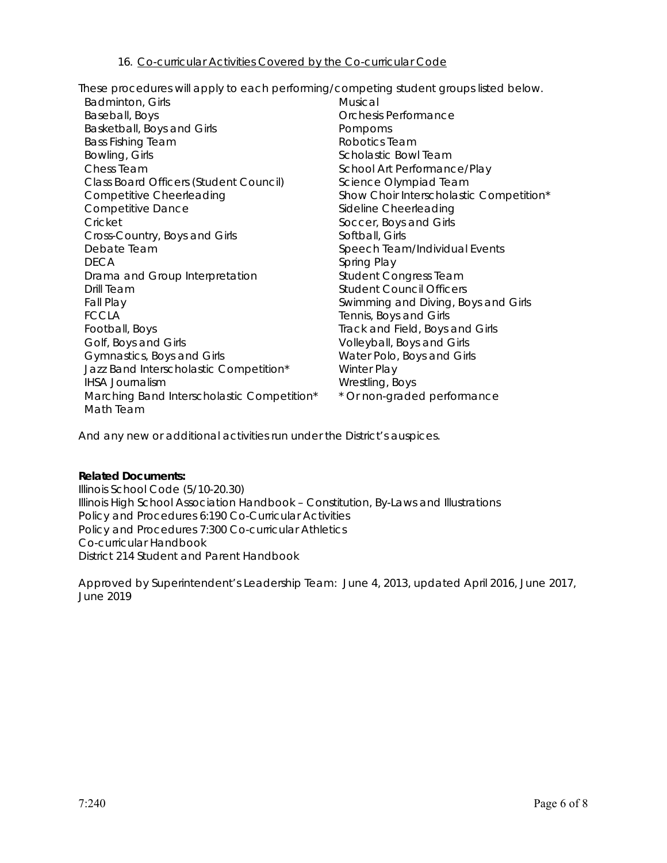These procedures will apply to each performing/competing student groups listed below.

| Badminton, Girls                           | Musical                                 |  |
|--------------------------------------------|-----------------------------------------|--|
| Baseball, Boys                             | Orchesis Performance                    |  |
| Basketball, Boys and Girls                 | Pompoms                                 |  |
| <b>Bass Fishing Team</b>                   | Robotics Team                           |  |
| Bowling, Girls                             | Scholastic Bowl Team                    |  |
| Chess Team                                 | School Art Performance/Play             |  |
| Class Board Officers (Student Council)     | Science Olympiad Team                   |  |
| <b>Competitive Cheerleading</b>            | Show Choir Interscholastic Competition* |  |
| <b>Competitive Dance</b>                   | Sideline Cheerleading                   |  |
| Cricket                                    | Soccer, Boys and Girls                  |  |
| Cross-Country, Boys and Girls              | Softball, Girls                         |  |
| Debate Team                                | Speech Team/Individual Events           |  |
| <b>DECA</b>                                | Spring Play                             |  |
| Drama and Group Interpretation             | <b>Student Congress Team</b>            |  |
| Drill Team                                 | <b>Student Council Officers</b>         |  |
| Fall Play                                  | Swimming and Diving, Boys and Girls     |  |
| <b>FCCLA</b>                               | Tennis, Boys and Girls                  |  |
| Football, Boys                             | Track and Field, Boys and Girls         |  |
| Golf, Boys and Girls                       | Volleyball, Boys and Girls              |  |
| Gymnastics, Boys and Girls                 | Water Polo, Boys and Girls              |  |
| Jazz Band Interscholastic Competition*     | Winter Play                             |  |
| <b>IHSA Journalism</b>                     | Wrestling, Boys                         |  |
| Marching Band Interscholastic Competition* | * Or non-graded performance             |  |
| Math Team                                  |                                         |  |

And any new or additional activities run under the District's auspices.

#### *Related Documents:*

Illinois School Code (5/10-20.30) Illinois High School Association Handbook – Constitution, By-Laws and Illustrations Policy and Procedures 6:190 Co-Curricular Activities Policy and Procedures 7:300 Co-curricular Athletics Co-curricular Handbook *District 214 Student and Parent Handbook* 

Approved by Superintendent's Leadership Team: June 4, 2013, updated April 2016, June 2017, June 2019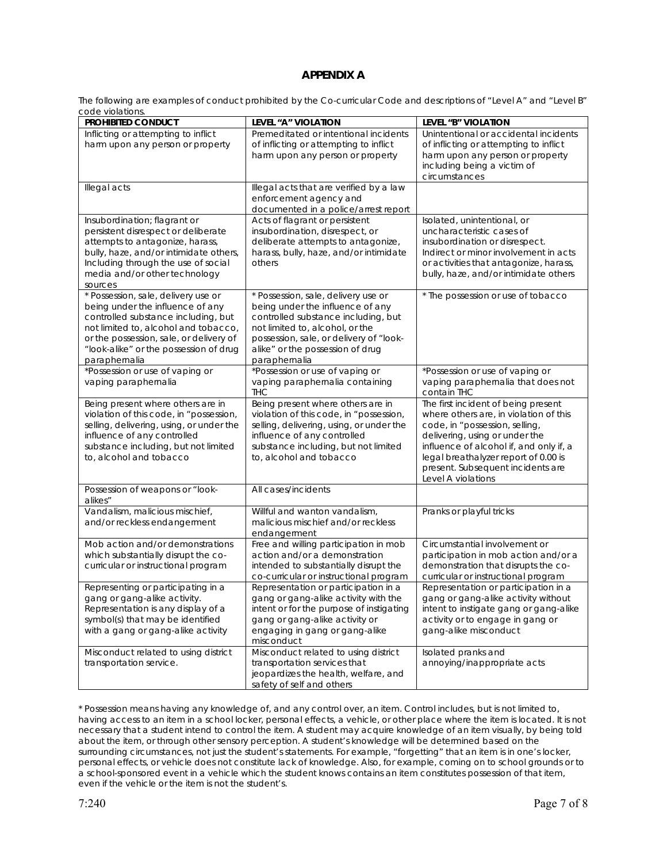#### **APPENDIX A**

The following are examples of conduct prohibited by the Co-curricular Code and descriptions of "Level A" and "Level B" code violations.

| cuuc viuidiium.<br>PROHIBITED CONDUCT                                                                                                                                                                                                                        | LEVEL "A" VIOLATION                                                                                                                                                                                                                               | LEVEL "B" VIOLATION                                                                                                                                                                                                                                                                             |
|--------------------------------------------------------------------------------------------------------------------------------------------------------------------------------------------------------------------------------------------------------------|---------------------------------------------------------------------------------------------------------------------------------------------------------------------------------------------------------------------------------------------------|-------------------------------------------------------------------------------------------------------------------------------------------------------------------------------------------------------------------------------------------------------------------------------------------------|
| Inflicting or attempting to inflict<br>harm upon any person or property                                                                                                                                                                                      | Premeditated or intentional incidents<br>of inflicting or attempting to inflict<br>harm upon any person or property                                                                                                                               | Unintentional or accidental incidents<br>of inflicting or attempting to inflict<br>harm upon any person or property<br>including being a victim of<br>circumstances                                                                                                                             |
| Illegal acts                                                                                                                                                                                                                                                 | Illegal acts that are verified by a law<br>enforcement agency and<br>documented in a police/arrest report                                                                                                                                         |                                                                                                                                                                                                                                                                                                 |
| Insubordination; flagrant or<br>persistent disrespect or deliberate<br>attempts to antagonize, harass,<br>bully, haze, and/or intimidate others,<br>Including through the use of social<br>media and/or other technology<br>sources                          | Acts of flagrant or persistent<br>insubordination, disrespect, or<br>deliberate attempts to antagonize,<br>harass, bully, haze, and/or intimidate<br>others                                                                                       | Isolated, unintentional, or<br>uncharacteristic cases of<br>insubordination or disrespect.<br>Indirect or minor involvement in acts<br>or activities that antagonize, harass,<br>bully, haze, and/or intimidate others                                                                          |
| * Possession, sale, delivery use or<br>being under the influence of any<br>controlled substance including, but<br>not limited to, alcohol and tobacco,<br>or the possession, sale, or delivery of<br>"look-alike" or the possession of drug<br>paraphernalia | * Possession, sale, delivery use or<br>being under the influence of any<br>controlled substance including, but<br>not limited to, alcohol, or the<br>possession, sale, or delivery of "look-<br>alike" or the possession of drug<br>paraphernalia | * The possession or use of tobacco                                                                                                                                                                                                                                                              |
| *Possession or use of vaping or<br>vaping paraphernalia                                                                                                                                                                                                      | *Possession or use of vaping or<br>vaping paraphernalia containing<br><b>THC</b>                                                                                                                                                                  | *Possession or use of vaping or<br>vaping paraphernalia that does not<br>contain THC                                                                                                                                                                                                            |
| Being present where others are in<br>violation of this code, in "possession,<br>selling, delivering, using, or under the<br>influence of any controlled<br>substance including, but not limited<br>to, alcohol and tobacco                                   | Being present where others are in<br>violation of this code, in "possession,<br>selling, delivering, using, or under the<br>influence of any controlled<br>substance including, but not limited<br>to, alcohol and tobacco                        | The first incident of being present<br>where others are, in violation of this<br>code, in "possession, selling,<br>delivering, using or under the<br>influence of alcohol if, and only if, a<br>legal breathalyzer report of 0.00 is<br>present. Subsequent incidents are<br>Level A violations |
| Possession of weapons or "look-<br>alikes"                                                                                                                                                                                                                   | All cases/incidents                                                                                                                                                                                                                               |                                                                                                                                                                                                                                                                                                 |
| Vandalism, malicious mischief,<br>and/or reckless endangerment                                                                                                                                                                                               | Willful and wanton vandalism,<br>malicious mischief and/or reckless<br>endangerment                                                                                                                                                               | Pranks or playful tricks                                                                                                                                                                                                                                                                        |
| Mob action and/or demonstrations<br>which substantially disrupt the co-<br>curricular or instructional program                                                                                                                                               | Free and willing participation in mob<br>action and/or a demonstration<br>intended to substantially disrupt the<br>co-curricular or instructional program                                                                                         | Circumstantial involvement or<br>participation in mob action and/or a<br>demonstration that disrupts the co-<br>curricular or instructional program                                                                                                                                             |
| Representing or participating in a<br>gang or gang-alike activity.<br>Representation is any display of a<br>symbol(s) that may be identified<br>with a gang or gang-alike activity                                                                           | Representation or participation in a<br>gang or gang-alike activity with the<br>intent or for the purpose of instigating<br>gang or gang-alike activity or<br>engaging in gang or gang-alike<br>misconduct                                        | Representation or participation in a<br>gang or gang-alike activity without<br>intent to instigate gang or gang-alike<br>activity or to engage in gang or<br>gang-alike misconduct                                                                                                              |
| Misconduct related to using district<br>transportation service.                                                                                                                                                                                              | Misconduct related to using district<br>transportation services that<br>jeopardizes the health, welfare, and<br>safety of self and others                                                                                                         | Isolated pranks and<br>annoying/inappropriate acts                                                                                                                                                                                                                                              |

\* Possession means having any knowledge of, and any control over, an item. Control includes, but is not limited to, having access to an item in a school locker, personal effects, a vehicle, or other place where the item is located. It is not necessary that a student intend to control the item. A student may acquire knowledge of an item visually, by being told about the item, or through other sensory perception. A student's knowledge will be determined based on the surrounding circumstances, not just the student's statements. For example, "forgetting" that an item is in one's locker, personal effects, or vehicle does not constitute lack of knowledge. Also, for example, coming on to school grounds or to a school-sponsored event in a vehicle which the student knows contains an item constitutes possession of that item, even if the vehicle or the item is not the student's.